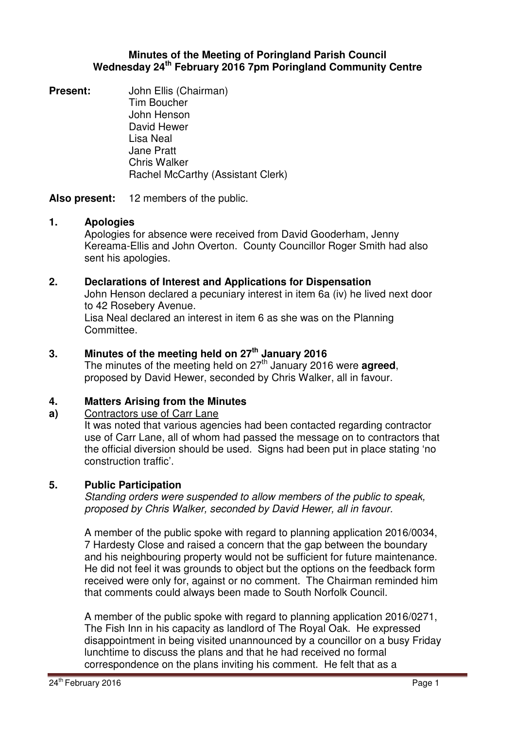## **Minutes of the Meeting of Poringland Parish Council Wednesday 24th February 2016 7pm Poringland Community Centre**

**Present:** John Ellis (Chairman) Tim Boucher John Henson David Hewer Lisa Neal Jane Pratt Chris Walker Rachel McCarthy (Assistant Clerk)

**Also present:** 12 members of the public.

## **1. Apologies**

Apologies for absence were received from David Gooderham, Jenny Kereama-Ellis and John Overton. County Councillor Roger Smith had also sent his apologies.

## **2. Declarations of Interest and Applications for Dispensation**

John Henson declared a pecuniary interest in item 6a (iv) he lived next door to 42 Rosebery Avenue.

Lisa Neal declared an interest in item 6 as she was on the Planning Committee.

# **3. Minutes of the meeting held on 27th January 2016**

The minutes of the meeting held on 27<sup>th</sup> January 2016 were **agreed**. proposed by David Hewer, seconded by Chris Walker, all in favour.

### **4. Matters Arising from the Minutes**

#### **a)**  Contractors use of Carr Lane

It was noted that various agencies had been contacted regarding contractor use of Carr Lane, all of whom had passed the message on to contractors that the official diversion should be used. Signs had been put in place stating 'no construction traffic'.

# **5. Public Participation**

Standing orders were suspended to allow members of the public to speak, proposed by Chris Walker, seconded by David Hewer, all in favour.

A member of the public spoke with regard to planning application 2016/0034, 7 Hardesty Close and raised a concern that the gap between the boundary and his neighbouring property would not be sufficient for future maintenance. He did not feel it was grounds to object but the options on the feedback form received were only for, against or no comment. The Chairman reminded him that comments could always been made to South Norfolk Council.

A member of the public spoke with regard to planning application 2016/0271, The Fish Inn in his capacity as landlord of The Royal Oak. He expressed disappointment in being visited unannounced by a councillor on a busy Friday lunchtime to discuss the plans and that he had received no formal correspondence on the plans inviting his comment. He felt that as a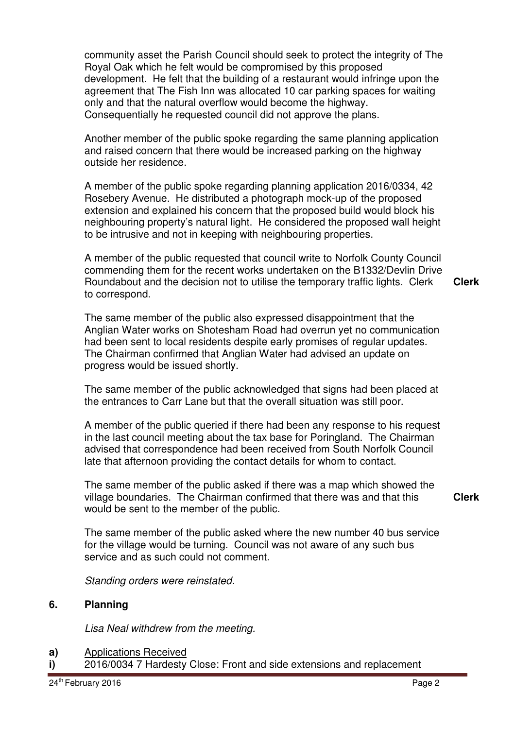community asset the Parish Council should seek to protect the integrity of The Royal Oak which he felt would be compromised by this proposed development. He felt that the building of a restaurant would infringe upon the agreement that The Fish Inn was allocated 10 car parking spaces for waiting only and that the natural overflow would become the highway. Consequentially he requested council did not approve the plans.

Another member of the public spoke regarding the same planning application and raised concern that there would be increased parking on the highway outside her residence.

A member of the public spoke regarding planning application 2016/0334, 42 Rosebery Avenue. He distributed a photograph mock-up of the proposed extension and explained his concern that the proposed build would block his neighbouring property's natural light. He considered the proposed wall height to be intrusive and not in keeping with neighbouring properties.

A member of the public requested that council write to Norfolk County Council commending them for the recent works undertaken on the B1332/Devlin Drive Roundabout and the decision not to utilise the temporary traffic lights. Clerk to correspond.

**Clerk**

The same member of the public also expressed disappointment that the Anglian Water works on Shotesham Road had overrun yet no communication had been sent to local residents despite early promises of regular updates. The Chairman confirmed that Anglian Water had advised an update on progress would be issued shortly.

The same member of the public acknowledged that signs had been placed at the entrances to Carr Lane but that the overall situation was still poor.

A member of the public queried if there had been any response to his request in the last council meeting about the tax base for Poringland. The Chairman advised that correspondence had been received from South Norfolk Council late that afternoon providing the contact details for whom to contact.

The same member of the public asked if there was a map which showed the village boundaries. The Chairman confirmed that there was and that this would be sent to the member of the public.

**Clerk**

The same member of the public asked where the new number 40 bus service for the village would be turning. Council was not aware of any such bus service and as such could not comment.

Standing orders were reinstated.

### **6. Planning**

Lisa Neal withdrew from the meeting.

- **a)**  Applications Received
- **i)**  2016/0034 7 Hardesty Close: Front and side extensions and replacement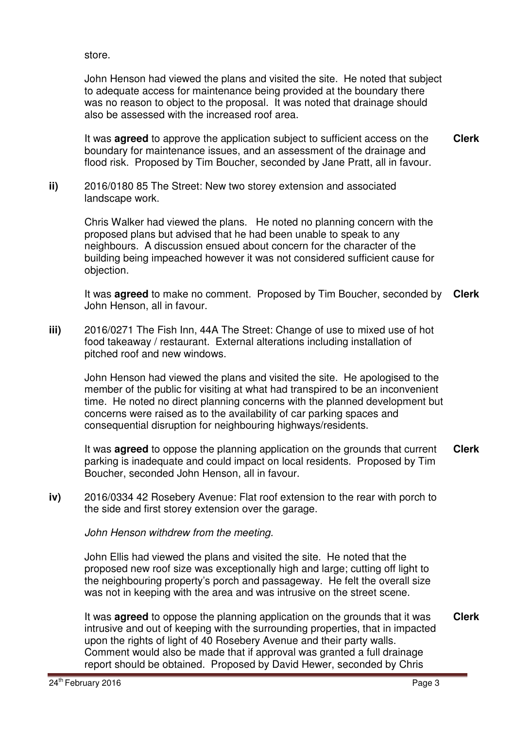store.

John Henson had viewed the plans and visited the site. He noted that subject to adequate access for maintenance being provided at the boundary there was no reason to object to the proposal. It was noted that drainage should also be assessed with the increased roof area.

It was **agreed** to approve the application subject to sufficient access on the boundary for maintenance issues, and an assessment of the drainage and flood risk. Proposed by Tim Boucher, seconded by Jane Pratt, all in favour. **Clerk**

**ii)** 2016/0180 85 The Street: New two storey extension and associated landscape work.

> Chris Walker had viewed the plans. He noted no planning concern with the proposed plans but advised that he had been unable to speak to any neighbours. A discussion ensued about concern for the character of the building being impeached however it was not considered sufficient cause for objection.

It was **agreed** to make no comment. Proposed by Tim Boucher, seconded by John Henson, all in favour. **Clerk**

**iii)** 2016/0271 The Fish Inn, 44A The Street: Change of use to mixed use of hot food takeaway / restaurant. External alterations including installation of pitched roof and new windows.

John Henson had viewed the plans and visited the site. He apologised to the member of the public for visiting at what had transpired to be an inconvenient time. He noted no direct planning concerns with the planned development but concerns were raised as to the availability of car parking spaces and consequential disruption for neighbouring highways/residents.

It was **agreed** to oppose the planning application on the grounds that current parking is inadequate and could impact on local residents. Proposed by Tim Boucher, seconded John Henson, all in favour. **Clerk**

**iv)** 2016/0334 42 Rosebery Avenue: Flat roof extension to the rear with porch to the side and first storey extension over the garage.

John Henson withdrew from the meeting.

John Ellis had viewed the plans and visited the site. He noted that the proposed new roof size was exceptionally high and large; cutting off light to the neighbouring property's porch and passageway. He felt the overall size was not in keeping with the area and was intrusive on the street scene.

It was **agreed** to oppose the planning application on the grounds that it was intrusive and out of keeping with the surrounding properties, that in impacted upon the rights of light of 40 Rosebery Avenue and their party walls. Comment would also be made that if approval was granted a full drainage report should be obtained. Proposed by David Hewer, seconded by Chris **Clerk**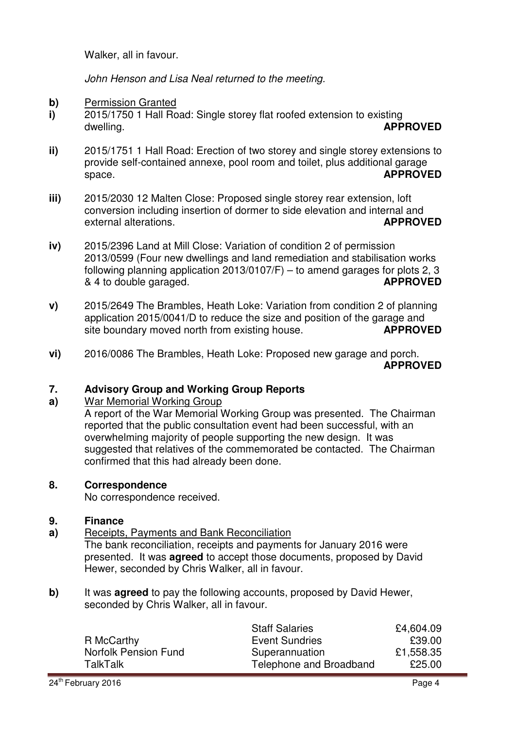Walker, all in favour.

John Henson and Lisa Neal returned to the meeting.

- **b)** Permission Granted
- **i)**  2015/1750 1 Hall Road: Single storey flat roofed extension to existing dwelling. **APPROVED**
- **ii)**  2015/1751 1 Hall Road: Erection of two storey and single storey extensions to provide self-contained annexe, pool room and toilet, plus additional garage space. **APPROVED**
- **iii)**  2015/2030 12 Malten Close: Proposed single storey rear extension, loft conversion including insertion of dormer to side elevation and internal and external alterations. **APPROVED**
- **iv)**  2015/2396 Land at Mill Close: Variation of condition 2 of permission 2013/0599 (Four new dwellings and land remediation and stabilisation works following planning application 2013/0107/F) – to amend garages for plots 2, 3 & 4 to double garaged. **APPROVED**
- **v)**  2015/2649 The Brambles, Heath Loke: Variation from condition 2 of planning application 2015/0041/D to reduce the size and position of the garage and site boundary moved north from existing house. **APPROVED**
- **vi)**  2016/0086 The Brambles, Heath Loke: Proposed new garage and porch.

**APPROVED**

### **7. Advisory Group and Working Group Reports**

**a)**  War Memorial Working Group

A report of the War Memorial Working Group was presented. The Chairman reported that the public consultation event had been successful, with an overwhelming majority of people supporting the new design. It was suggested that relatives of the commemorated be contacted. The Chairman confirmed that this had already been done.

# **8. Correspondence**

No correspondence received.

#### **9. Finance**

**a)**  Receipts, Payments and Bank Reconciliation

The bank reconciliation, receipts and payments for January 2016 were presented. It was **agreed** to accept those documents, proposed by David Hewer, seconded by Chris Walker, all in favour.

**b)** It was **agreed** to pay the following accounts, proposed by David Hewer, seconded by Chris Walker, all in favour.

|                             | <b>Staff Salaries</b>   | £4,604.09 |
|-----------------------------|-------------------------|-----------|
| R McCarthy                  | <b>Event Sundries</b>   | £39.00    |
| <b>Norfolk Pension Fund</b> | Superannuation          | £1,558.35 |
| <b>TalkTalk</b>             | Telephone and Broadband | £25.00    |
|                             |                         |           |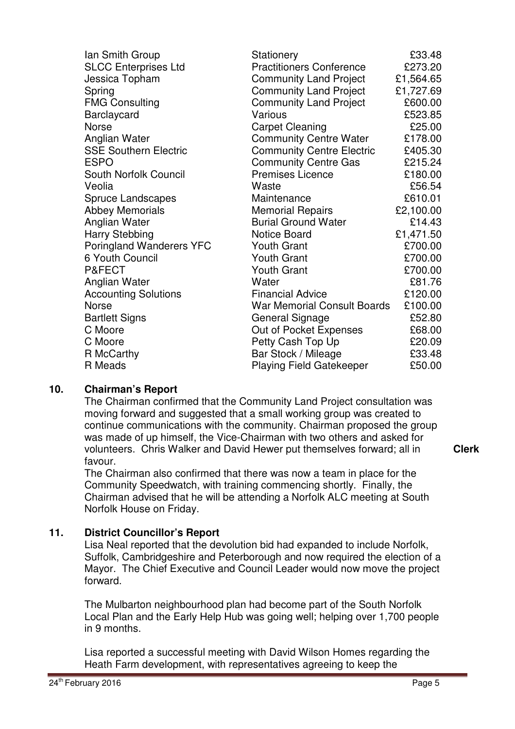| lan Smith Group                 | Stationery                         | £33.48    |
|---------------------------------|------------------------------------|-----------|
| <b>SLCC Enterprises Ltd</b>     | <b>Practitioners Conference</b>    | £273.20   |
| Jessica Topham                  | <b>Community Land Project</b>      | £1,564.65 |
| Spring                          | <b>Community Land Project</b>      | £1,727.69 |
| <b>FMG Consulting</b>           | <b>Community Land Project</b>      | £600.00   |
| Barclaycard                     | Various                            | £523.85   |
| <b>Norse</b>                    | <b>Carpet Cleaning</b>             | £25.00    |
| Anglian Water                   | <b>Community Centre Water</b>      | £178.00   |
| <b>SSE Southern Electric</b>    | <b>Community Centre Electric</b>   | £405.30   |
| <b>ESPO</b>                     | <b>Community Centre Gas</b>        | £215.24   |
| South Norfolk Council           | <b>Premises Licence</b>            | £180.00   |
| Veolia                          | Waste                              | £56.54    |
| <b>Spruce Landscapes</b>        | Maintenance                        | £610.01   |
| <b>Abbey Memorials</b>          | <b>Memorial Repairs</b>            | £2,100.00 |
| Anglian Water                   | <b>Burial Ground Water</b>         | £14.43    |
| <b>Harry Stebbing</b>           | <b>Notice Board</b>                | £1,471.50 |
| <b>Poringland Wanderers YFC</b> | <b>Youth Grant</b>                 | £700.00   |
| 6 Youth Council                 | <b>Youth Grant</b>                 | £700.00   |
| P&FECT                          | <b>Youth Grant</b>                 | £700.00   |
| Anglian Water                   | Water                              | £81.76    |
| <b>Accounting Solutions</b>     | <b>Financial Advice</b>            | £120.00   |
| <b>Norse</b>                    | <b>War Memorial Consult Boards</b> | £100.00   |
| <b>Bartlett Signs</b>           | <b>General Signage</b>             | £52.80    |
| C Moore                         | Out of Pocket Expenses             | £68.00    |
| C Moore                         | Petty Cash Top Up                  | £20.09    |
| R McCarthy                      | Bar Stock / Mileage                | £33.48    |
| R Meads                         | <b>Playing Field Gatekeeper</b>    | £50.00    |

# **10. Chairman's Report**

The Chairman confirmed that the Community Land Project consultation was moving forward and suggested that a small working group was created to continue communications with the community. Chairman proposed the group was made of up himself, the Vice-Chairman with two others and asked for volunteers. Chris Walker and David Hewer put themselves forward; all in favour.

**Clerk**

The Chairman also confirmed that there was now a team in place for the Community Speedwatch, with training commencing shortly. Finally, the Chairman advised that he will be attending a Norfolk ALC meeting at South Norfolk House on Friday.

## **11. District Councillor's Report**

Lisa Neal reported that the devolution bid had expanded to include Norfolk, Suffolk, Cambridgeshire and Peterborough and now required the election of a Mayor. The Chief Executive and Council Leader would now move the project forward.

The Mulbarton neighbourhood plan had become part of the South Norfolk Local Plan and the Early Help Hub was going well; helping over 1,700 people in 9 months.

Lisa reported a successful meeting with David Wilson Homes regarding the Heath Farm development, with representatives agreeing to keep the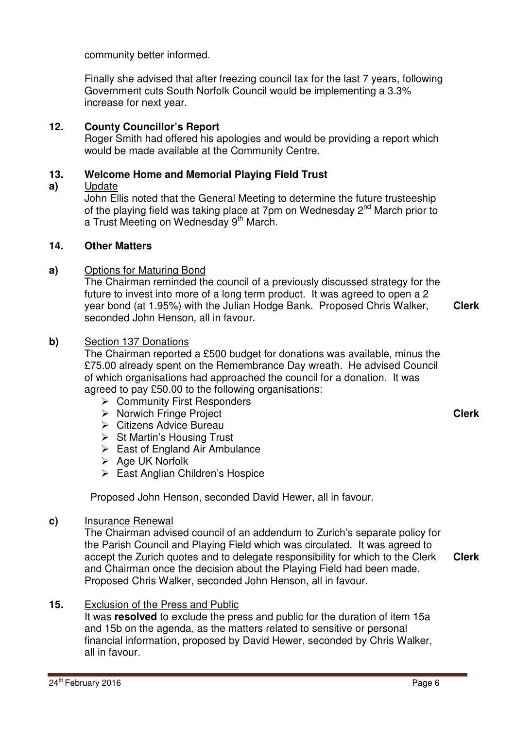community better informed.

Finally she advised that after freezing council tax for the last 7 years, following Government cuts South Norfolk Council would be implementing a 3.3% increase for next year.

# **12. County Councillor's Report**

Roger Smith had offered his apologies and would be providing a report which would be made available at the Community Centre.

### **13. Welcome Home and Memorial Playing Field Trust**

#### **a)**  Update

John Ellis noted that the General Meeting to determine the future trusteeship of the playing field was taking place at 7pm on Wednesday 2<sup>nd</sup> March prior to a Trust Meeting on Wednesday 9<sup>th</sup> March.

## **14. Other Matters**

## **a)** Options for Maturing Bond

The Chairman reminded the council of a previously discussed strategy for the future to invest into more of a long term product. It was agreed to open a 2 year bond (at 1.95%) with the Julian Hodge Bank. Proposed Chris Walker, seconded John Henson, all in favour. **Clerk**

## **b)** Section 137 Donations

The Chairman reported a £500 budget for donations was available, minus the £75.00 already spent on the Remembrance Day wreath. He advised Council of which organisations had approached the council for a donation. It was agreed to pay £50.00 to the following organisations:

- **▶ Community First Responders**
- $\triangleright$  Norwich Fringe Project
- $\triangleright$  Citizens Advice Bureau
- $\triangleright$  St Martin's Housing Trust
- $\triangleright$  East of England Air Ambulance
- $\triangleright$  Age UK Norfolk
- ▶ East Anglian Children's Hospice

Proposed John Henson, seconded David Hewer, all in favour.

## **c)** Insurance Renewal

The Chairman advised council of an addendum to Zurich's separate policy for the Parish Council and Playing Field which was circulated. It was agreed to accept the Zurich quotes and to delegate responsibility for which to the Clerk and Chairman once the decision about the Playing Field had been made. Proposed Chris Walker, seconded John Henson, all in favour. **Clerk**

## **15.** Exclusion of the Press and Public

It was **resolved** to exclude the press and public for the duration of item 15a and 15b on the agenda, as the matters related to sensitive or personal financial information, proposed by David Hewer, seconded by Chris Walker, all in favour.

**Clerk**